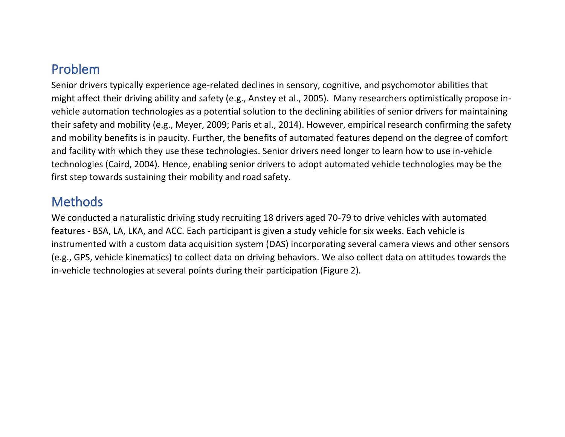## Problem

Senior drivers typically experience age-related declines in sensory, cognitive, and psychomotor abilities that might affect their driving ability and safety (e.g., Anstey et al., 2005). Many researchers optimistically propose invehicle automation technologies as a potential solution to the declining abilities of senior drivers for maintaining their safety and mobility (e.g., Meyer, 2009; Paris et al., 2014). However, empirical research confirming the safety and mobility benefits is in paucity. Further, the benefits of automated features depend on the degree of comfort and facility with which they use these technologies. Senior drivers need longer to learn how to use in-vehicle technologies (Caird, 2004). Hence, enabling senior drivers to adopt automated vehicle technologies may be the first step towards sustaining their mobility and road safety.

## **Methods**

We conducted a naturalistic driving study recruiting 18 drivers aged 70-79 to drive vehicles with automated features - BSA, LA, LKA, and ACC. Each participant is given a study vehicle for six weeks. Each vehicle is instrumented with a custom data acquisition system (DAS) incorporating several camera views and other sensors (e.g., GPS, vehicle kinematics) to collect data on driving behaviors. We also collect data on attitudes towards the in-vehicle technologies at several points during their participation (Figure 2).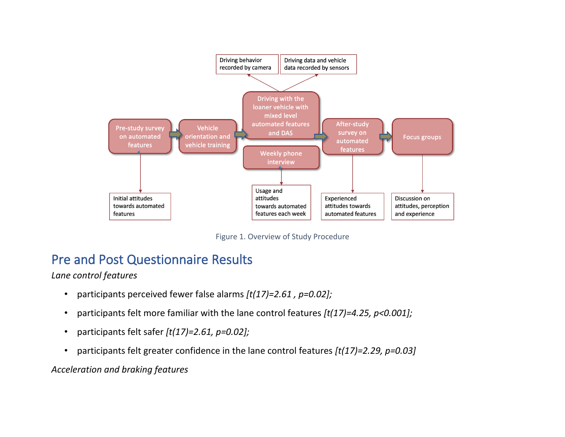

Figure 1. Overview of Study Procedure

## Pre and Post Questionnaire Results

*Lane control features*

- participants perceived fewer false alarms *[t(17)=2.61 , p=0.02];*
- participants felt more familiar with the lane control features *[t(17)=4.25, p<0.001];*
- participants felt safer *[t(17)=2.61, p=0.02];*
- participants felt greater confidence in the lane control features *[t(17)=2.29, p=0.03]*

*Acceleration and braking features*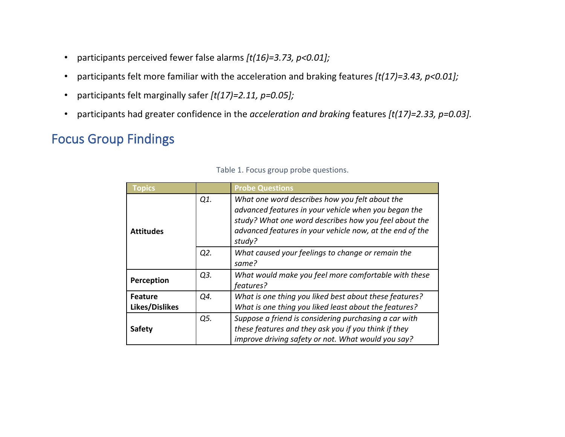- participants perceived fewer false alarms *[t(16)=3.73, p<0.01];*
- participants felt more familiar with the acceleration and braking features *[t(17)=3.43, p<0.01];*
- participants felt marginally safer *[t(17)=2.11, p=0.05];*
- participants had greater confidence in the *acceleration and braking* features *[t(17)=2.33, p=0.03].*

# Focus Group Findings

| <b>Topics</b>                  |     | <b>Probe Questions</b>                                                                                                                                                                                                                |  |  |  |  |
|--------------------------------|-----|---------------------------------------------------------------------------------------------------------------------------------------------------------------------------------------------------------------------------------------|--|--|--|--|
| Q1.<br><b>Attitudes</b>        |     | What one word describes how you felt about the<br>advanced features in your vehicle when you began the<br>study? What one word describes how you feel about the<br>advanced features in your vehicle now, at the end of the<br>study? |  |  |  |  |
|                                | Q2. | What caused your feelings to change or remain the<br>same?                                                                                                                                                                            |  |  |  |  |
| Q3.<br>Perception<br>features? |     | What would make you feel more comfortable with these                                                                                                                                                                                  |  |  |  |  |
| <b>Feature</b>                 | Q4. | What is one thing you liked best about these features?                                                                                                                                                                                |  |  |  |  |
| Likes/Dislikes                 |     | What is one thing you liked least about the features?                                                                                                                                                                                 |  |  |  |  |
| <b>Safety</b>                  | Q5. | Suppose a friend is considering purchasing a car with<br>these features and they ask you if you think if they<br>improve driving safety or not. What would you say?                                                                   |  |  |  |  |

|  |  |  |  | Table 1. Focus group probe questions. |
|--|--|--|--|---------------------------------------|
|--|--|--|--|---------------------------------------|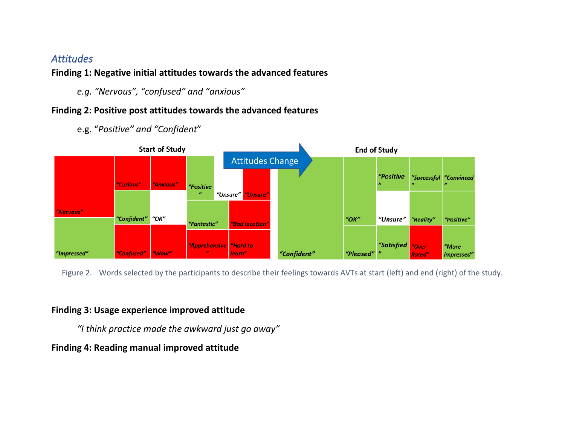### *Attitudes*

### **Finding 1: Negative initial attitudes towards the advanced features**

*e.g. "Nervous", "confused" and "anxious"*

### **Finding 2: Positive post attitudes towards the advanced features**

e.g. "*Positive" and "Confident*"



Figure 2. Words selected by the participants to describe their feelings towards AVTs at start (left) and end (right) of the study.

### **Finding 3: Usage experience improved attitude**

*"I think practice made the awkward just go away"*

### **Finding 4: Reading manual improved attitude**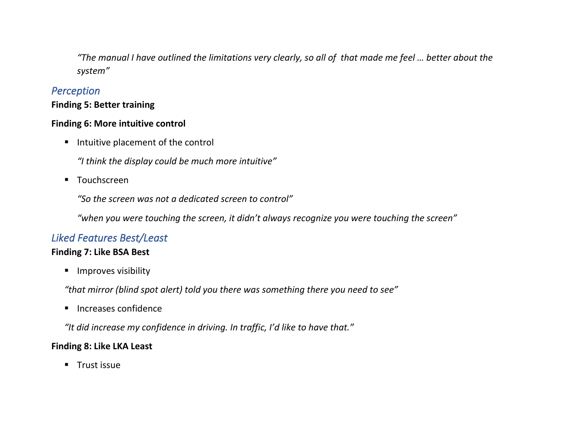*"The manual I have outlined the limitations very clearly, so all of that made me feel … better about the system"*

### *Perception*

### **Finding 5: Better training**

### **Finding 6: More intuitive control**

■ Intuitive placement of the control

*"I think the display could be much more intuitive"*

■ Touchscreen

*"So the screen was not a dedicated screen to control"*

*"when you were touching the screen, it didn't always recognize you were touching the screen"*

### *Liked Features Best/Least*

### **Finding 7: Like BSA Best**

■ Improves visibility

*"that mirror (blind spot alert) told you there was something there you need to see"* 

■ Increases confidence

*"It did increase my confidence in driving. In traffic, I'd like to have that."*

### **Finding 8: Like LKA Least**

**■** Trust issue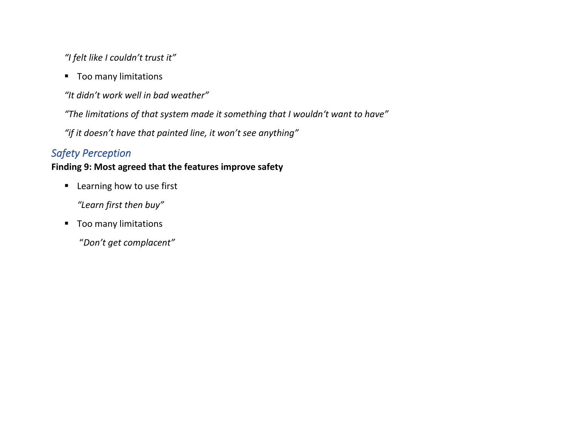*"I felt like I couldn't trust it"* 

■ Too many limitations

*"It didn't work well in bad weather"*

*"The limitations of that system made it something that I wouldn't want to have"*

*"if it doesn't have that painted line, it won't see anything"*

### *Safety Perception*

### **Finding 9: Most agreed that the features improve safety**

■ Learning how to use first

*"Learn first then buy"*

■ Too many limitations

"*Don't get complacent"*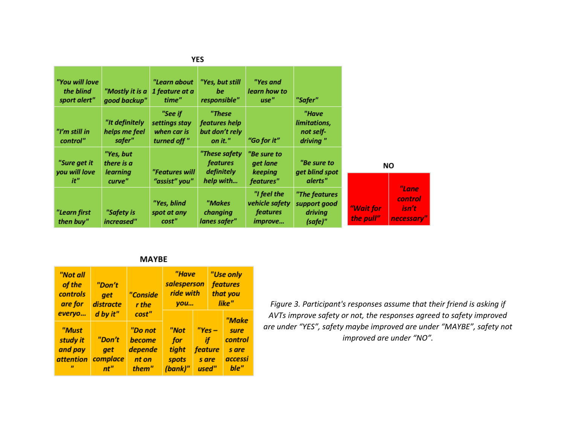| <b>YES</b>                                  |                                                      |                                                        |                                                             |                                                                    |                                                     |                        |                                                |
|---------------------------------------------|------------------------------------------------------|--------------------------------------------------------|-------------------------------------------------------------|--------------------------------------------------------------------|-----------------------------------------------------|------------------------|------------------------------------------------|
| "You will love<br>the blind<br>sport alert" | "Mostly it is a<br>good backup"                      | "Learn about<br>1 feature at a<br>time"                | "Yes, but still<br>be<br>responsible"                       | "Yes and<br>learn how to<br>use"                                   | "Safer"                                             |                        |                                                |
| "I'm still in<br>control"                   | "It definitely<br>helps me feel<br>safer"            | "See if<br>settings stay<br>when car is<br>turned off" | "These<br>features help<br>but don't rely<br>on it."        | "Go for it"                                                        | "Have<br>limitations,<br>not self-<br>driving"      |                        |                                                |
| "Sure get it<br>you will love<br>it"        | "Yes, but<br>there is a<br><b>learning</b><br>curve" | "Features will<br>"assist" you"                        | "These safety<br><i>features</i><br>definitely<br>help with | "Be sure to<br>get lane<br>keeping<br>features"                    | "Be sure to<br>get blind spot<br>alerts"            |                        | ΝO                                             |
| "Learn first<br>then buy"                   | "Safety is<br>increased"                             | "Yes, blind<br>spot at any<br>cost"                    | "Makes<br>changing<br>lanes safer"                          | "I feel the<br>vehicle safety<br><i>features</i><br><i>improve</i> | "The features<br>support good<br>driving<br>(safe)" | "Wait for<br>the pull" | "Lane<br><i>control</i><br>isn't<br>necessary" |

#### **MAYBE**

| "Not all<br>of the<br>controls<br>are for | "Don't<br>get<br>distracte | "Conside<br>r the |         | "Have<br>salesperson<br>ride with<br>you |  | "Use only<br>features<br>that you<br>like" |  |
|-------------------------------------------|----------------------------|-------------------|---------|------------------------------------------|--|--------------------------------------------|--|
| everyo                                    | d by it"                   | cost"             |         |                                          |  | "Make                                      |  |
| "Must                                     |                            | "Do not           | "Not    | $"Yes -$                                 |  | sure                                       |  |
| study it                                  | "Don't                     | become            | for     | if                                       |  | control                                    |  |
| and pay                                   | get                        | depende           | tight   | feature                                  |  | s are                                      |  |
| <i>attention</i>                          | complace                   | nt on             | spots   | s are                                    |  | accessi                                    |  |
| $\boldsymbol{\mathsf{H}}$                 | nt"                        | them"             | (bank)" | used"                                    |  | ble"                                       |  |

*Figure 3. Participant's responses assume that their friend is asking if AVTs improve safety or not, the responses agreed to safety improved are under "YES", safety maybe improved are under "MAYBE", safety not improved are under "NO".*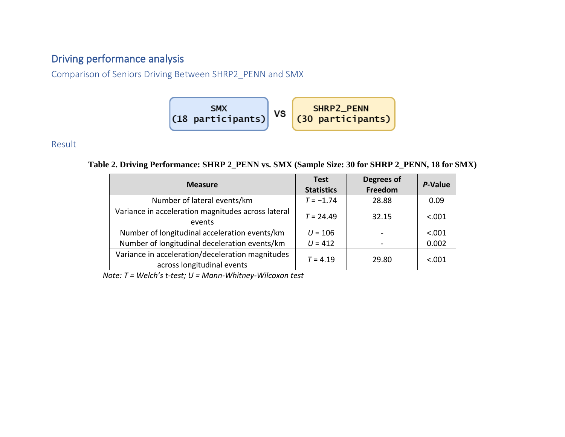## Driving performance analysis

Comparison of Seniors Driving Between SHRP2\_PENN and SMX

### Result

**Table 2. Driving Performance: SHRP 2\_PENN vs. SMX (Sample Size: 30 for SHRP 2\_PENN, 18 for SMX)**

| <b>Measure</b>                                                                 | <b>Test</b><br><b>Statistics</b> | Degrees of<br>Freedom | P-Value |
|--------------------------------------------------------------------------------|----------------------------------|-----------------------|---------|
| Number of lateral events/km                                                    | $T = -1.74$                      | 28.88                 | 0.09    |
| Variance in acceleration magnitudes across lateral<br>events                   | $T = 24.49$                      | 32.15                 | < .001  |
| Number of longitudinal acceleration events/km                                  | $U = 106$                        |                       | < .001  |
| Number of longitudinal deceleration events/km                                  | $U = 412$                        |                       | 0.002   |
| Variance in acceleration/deceleration magnitudes<br>across longitudinal events | $T = 4.19$                       | 29.80                 | < .001  |

*Note: T = Welch's t-test; U = Mann-Whitney-Wilcoxon test*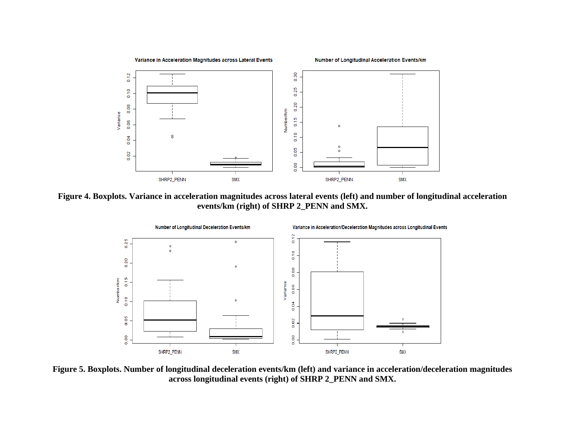

**Figure 4. Boxplots. Variance in acceleration magnitudes across lateral events (left) and number of longitudinal acceleration events/km (right) of SHRP 2\_PENN and SMX.**



**Figure 5. Boxplots. Number of longitudinal deceleration events/km (left) and variance in acceleration/deceleration magnitudes across longitudinal events (right) of SHRP 2\_PENN and SMX.**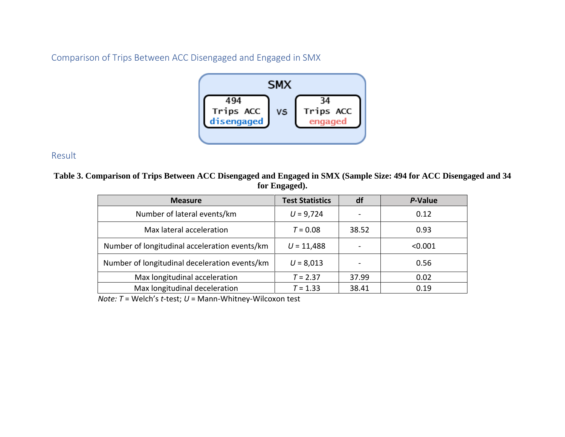Comparison of Trips Between ACC Disengaged and Engaged in SMX



#### Result

**Table 3. Comparison of Trips Between ACC Disengaged and Engaged in SMX (Sample Size: 494 for ACC Disengaged and 34 for Engaged).**

| <b>Measure</b>                                | <b>Test Statistics</b> | df    | P-Value |
|-----------------------------------------------|------------------------|-------|---------|
| Number of lateral events/km                   | $U = 9,724$            |       | 0.12    |
| Max lateral acceleration                      | $T = 0.08$             | 38.52 | 0.93    |
| Number of longitudinal acceleration events/km | $U = 11,488$           |       | < 0.001 |
| Number of longitudinal deceleration events/km | $U = 8,013$            |       | 0.56    |
| Max longitudinal acceleration                 | $T = 2.37$             | 37.99 | 0.02    |
| Max longitudinal deceleration                 | $T = 1.33$             | 38.41 | 0.19    |

 *Note: T* = Welch's *t*-test; *U* = Mann-Whitney-Wilcoxon test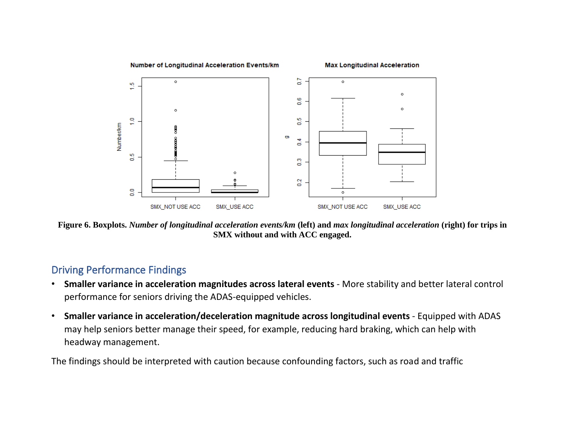

**Figure 6. Boxplots.** *Number of longitudinal acceleration events/km* **(left) and** *max longitudinal acceleration* **(right) for trips in SMX without and with ACC engaged.**

### Driving Performance Findings

- **Smaller variance in acceleration magnitudes across lateral events**  More stability and better lateral control performance for seniors driving the ADAS-equipped vehicles.
- Smaller variance in acceleration/deceleration magnitude across longitudinal events Equipped with ADAS may help seniors better manage their speed, for example, reducing hard braking, which can help with headway management.

The findings should be interpreted with caution because confounding factors, such as road and traffic